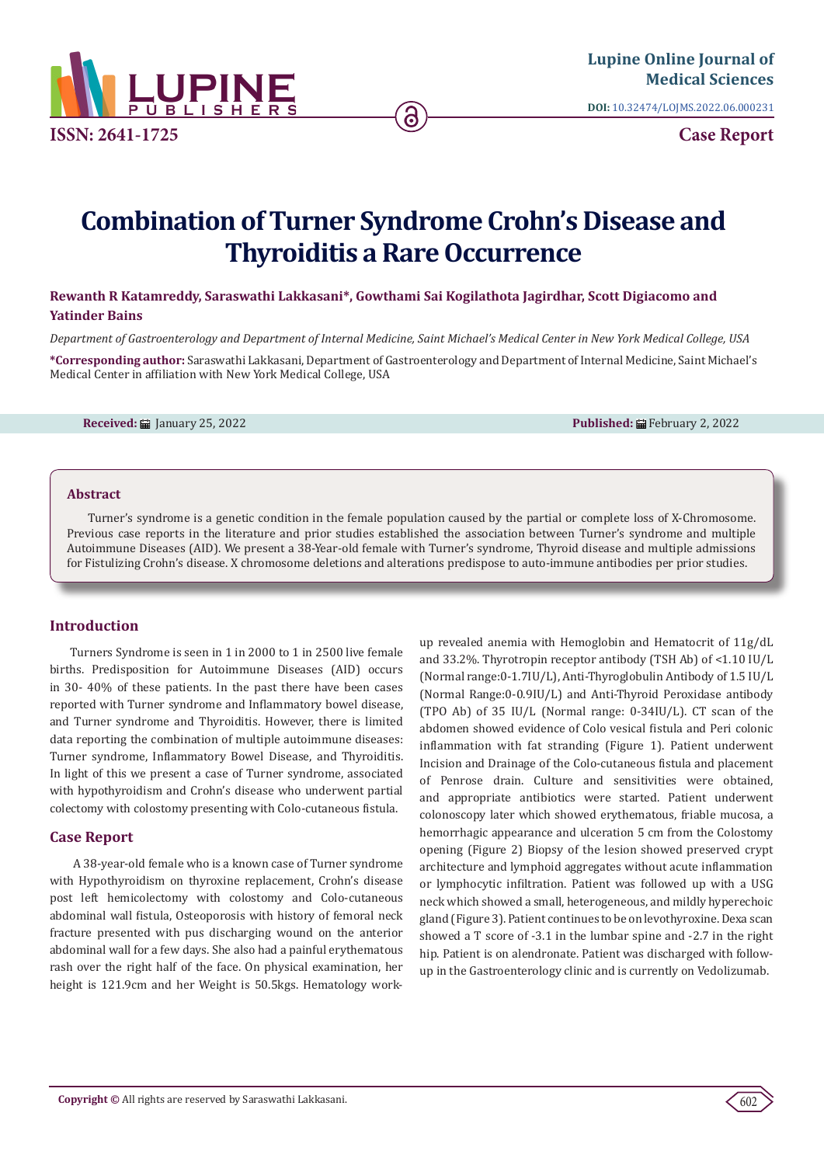

**DOI:** [10.32474/LOJMS.2022.06.00023](http://dx.doi.org/10.32474/LOJMS.2022.06.000231)1

**Case Report**

# **Combination of Turner Syndrome Crohn's Disease and Thyroiditis a Rare Occurrence**

**Rewanth R Katamreddy, Saraswathi Lakkasani\*, Gowthami Sai Kogilathota Jagirdhar, Scott Digiacomo and Yatinder Bains**

*Department of Gastroenterology and Department of Internal Medicine, Saint Michael's Medical Center in New York Medical College, USA*

**\*Corresponding author:** Saraswathi Lakkasani, Department of Gastroenterology and Department of Internal Medicine, Saint Michael's Medical Center in affiliation with New York Medical College, USA

**Received:** ■ January 25, 2022 **Published: ■ February 2, 2022** 

#### **Abstract**

Turner's syndrome is a genetic condition in the female population caused by the partial or complete loss of X-Chromosome. Previous case reports in the literature and prior studies established the association between Turner's syndrome and multiple Autoimmune Diseases (AID). We present a 38-Year-old female with Turner's syndrome, Thyroid disease and multiple admissions for Fistulizing Crohn's disease. X chromosome deletions and alterations predispose to auto-immune antibodies per prior studies.

## **Introduction**

Turners Syndrome is seen in 1 in 2000 to 1 in 2500 live female births. Predisposition for Autoimmune Diseases (AID) occurs in 30- 40% of these patients. In the past there have been cases reported with Turner syndrome and Inflammatory bowel disease, and Turner syndrome and Thyroiditis. However, there is limited data reporting the combination of multiple autoimmune diseases: Turner syndrome, Inflammatory Bowel Disease, and Thyroiditis. In light of this we present a case of Turner syndrome, associated with hypothyroidism and Crohn's disease who underwent partial colectomy with colostomy presenting with Colo-cutaneous fistula.

## **Case Report**

 A 38-year-old female who is a known case of Turner syndrome with Hypothyroidism on thyroxine replacement, Crohn's disease post left hemicolectomy with colostomy and Colo-cutaneous abdominal wall fistula, Osteoporosis with history of femoral neck fracture presented with pus discharging wound on the anterior abdominal wall for a few days. She also had a painful erythematous rash over the right half of the face. On physical examination, her height is 121.9cm and her Weight is 50.5kgs. Hematology work-

up revealed anemia with Hemoglobin and Hematocrit of 11g/dL and 33.2%. Thyrotropin receptor antibody (TSH Ab) of <1.10 IU/L (Normal range:0-1.7IU/L), Anti-Thyroglobulin Antibody of 1.5 IU/L (Normal Range:0-0.9IU/L) and Anti-Thyroid Peroxidase antibody (TPO Ab) of 35 IU/L (Normal range: 0-34IU/L). CT scan of the abdomen showed evidence of Colo vesical fistula and Peri colonic inflammation with fat stranding (Figure 1). Patient underwent Incision and Drainage of the Colo-cutaneous fistula and placement of Penrose drain. Culture and sensitivities were obtained, and appropriate antibiotics were started. Patient underwent colonoscopy later which showed erythematous, friable mucosa, a hemorrhagic appearance and ulceration 5 cm from the Colostomy opening (Figure 2) Biopsy of the lesion showed preserved crypt architecture and lymphoid aggregates without acute inflammation or lymphocytic infiltration. Patient was followed up with a USG neck which showed a small, heterogeneous, and mildly hyperechoic gland (Figure 3). Patient continues to be on levothyroxine. Dexa scan showed a T score of -3.1 in the lumbar spine and -2.7 in the right hip. Patient is on alendronate. Patient was discharged with followup in the Gastroenterology clinic and is currently on Vedolizumab.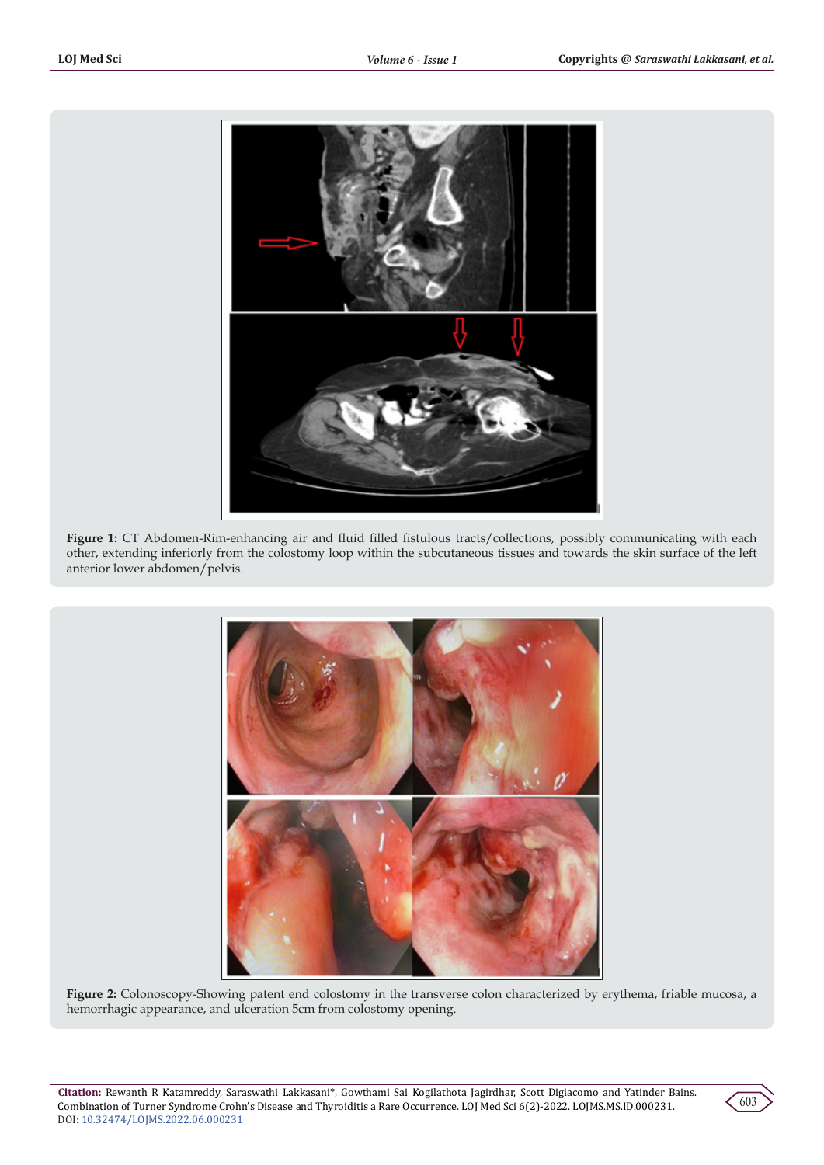

**Figure 1:** CT Abdomen-Rim-enhancing air and fluid filled fistulous tracts/collections, possibly communicating with each other, extending inferiorly from the colostomy loop within the subcutaneous tissues and towards the skin surface of the left anterior lower abdomen/pelvis.



**Figure 2:** Colonoscopy-Showing patent end colostomy in the transverse colon characterized by erythema, friable mucosa, a hemorrhagic appearance, and ulceration 5cm from colostomy opening.

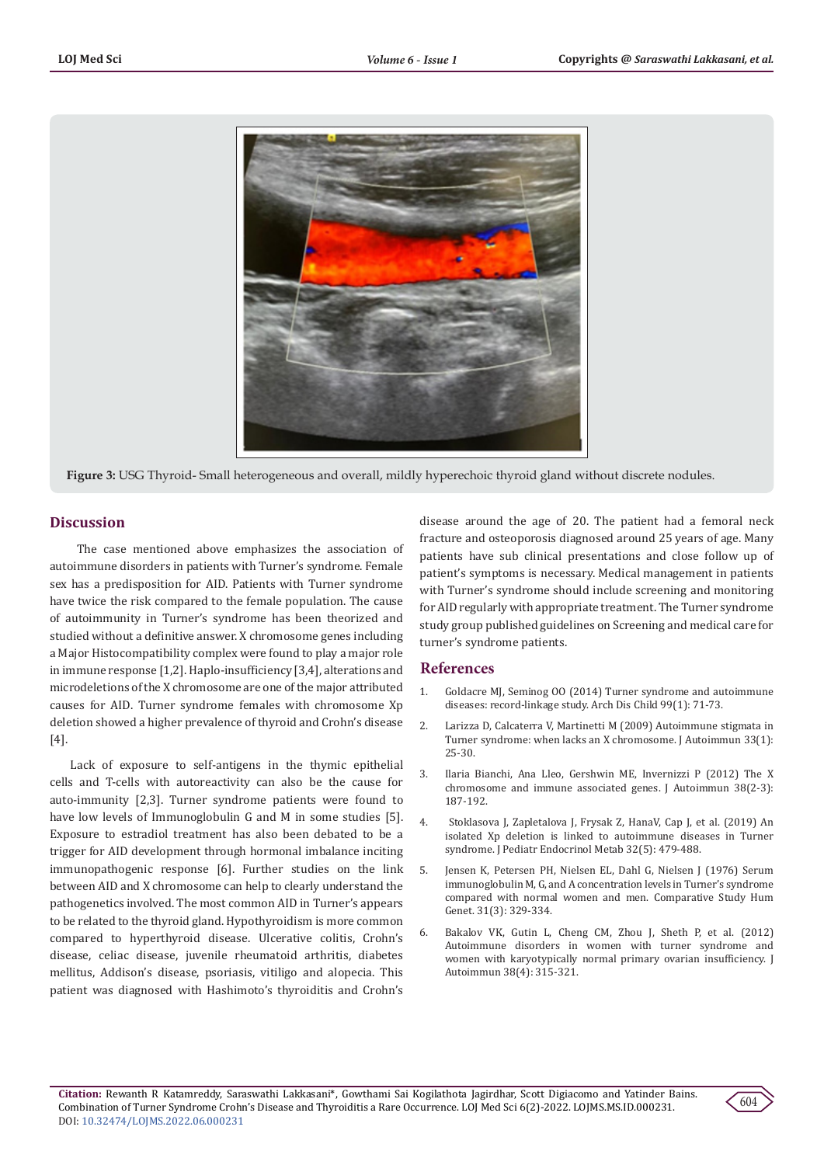

**Figure 3:** USG Thyroid- Small heterogeneous and overall, mildly hyperechoic thyroid gland without discrete nodules.

# **Discussion**

 The case mentioned above emphasizes the association of autoimmune disorders in patients with Turner's syndrome. Female sex has a predisposition for AID. Patients with Turner syndrome have twice the risk compared to the female population. The cause of autoimmunity in Turner's syndrome has been theorized and studied without a definitive answer. X chromosome genes including a Major Histocompatibility complex were found to play a major role in immune response [1,2]. Haplo-insufficiency [3,4], alterations and microdeletions of the X chromosome are one of the major attributed causes for AID. Turner syndrome females with chromosome Xp deletion showed a higher prevalence of thyroid and Crohn's disease [4].

Lack of exposure to self-antigens in the thymic epithelial cells and T-cells with autoreactivity can also be the cause for auto-immunity [2,3]. Turner syndrome patients were found to have low levels of Immunoglobulin G and M in some studies [5]. Exposure to estradiol treatment has also been debated to be a trigger for AID development through hormonal imbalance inciting immunopathogenic response [6]. Further studies on the link between AID and X chromosome can help to clearly understand the pathogenetics involved. The most common AID in Turner's appears to be related to the thyroid gland. Hypothyroidism is more common compared to hyperthyroid disease. Ulcerative colitis, Crohn's disease, celiac disease, juvenile rheumatoid arthritis, diabetes mellitus, Addison's disease, psoriasis, vitiligo and alopecia. This patient was diagnosed with Hashimoto's thyroiditis and Crohn's

disease around the age of 20. The patient had a femoral neck fracture and osteoporosis diagnosed around 25 years of age. Many patients have sub clinical presentations and close follow up of patient's symptoms is necessary. Medical management in patients with Turner's syndrome should include screening and monitoring for AID regularly with appropriate treatment. The Turner syndrome study group published guidelines on Screening and medical care for turner's syndrome patients.

## **References**

- 1. [Goldacre MJ, Seminog OO \(2014\) Turner syndrome and autoimmune](https://pubmed.ncbi.nlm.nih.gov/24064113/) [diseases: record-linkage study. Arch Dis Child 99\(1\): 71-73.](https://pubmed.ncbi.nlm.nih.gov/24064113/)
- 2. [Larizza D, Calcaterra V, Martinetti M \(2009\) Autoimmune stigmata in](https://pubmed.ncbi.nlm.nih.gov/19349146/) [Turner syndrome: when lacks an X chromosome. J Autoimmun 33\(1\):](https://pubmed.ncbi.nlm.nih.gov/19349146/) [25-30.](https://pubmed.ncbi.nlm.nih.gov/19349146/)
- 3. [Ilaria Bianchi, Ana Lleo, Gershwin ME, Invernizzi P \(2012\) The X](https://pubmed.ncbi.nlm.nih.gov/22178198/) [chromosome and immune associated genes. J Autoimmun 38\(2-3\):](https://pubmed.ncbi.nlm.nih.gov/22178198/) [187-192.](https://pubmed.ncbi.nlm.nih.gov/22178198/)
- 4. [Stoklasova J, Zapletalova J, Frysak Z, HanaV, Cap J, et al. \(2019\) An](https://pubmed.ncbi.nlm.nih.gov/31075085/) [isolated Xp deletion is linked to autoimmune diseases in Turner](https://pubmed.ncbi.nlm.nih.gov/31075085/) [syndrome. J Pediatr Endocrinol Metab 32\(5\): 479-488.](https://pubmed.ncbi.nlm.nih.gov/31075085/)
- 5. Jensen K, Petersen PH, Nielsen EL, Dahl G, Nielsen J (1976) Serum immunoglobulin M, G, and A concentration levels in Turner's syndrome compared with normal women and men. Comparative Study Hum Genet. 31(3): 329-334.
- 6. [Bakalov VK, Gutin L, Cheng CM, Zhou J, Sheth P, et al. \(2012\)](https://pubmed.ncbi.nlm.nih.gov/22342295/) [Autoimmune disorders in women with turner syndrome and](https://pubmed.ncbi.nlm.nih.gov/22342295/) [women with karyotypically normal primary ovarian insufficiency. J](https://pubmed.ncbi.nlm.nih.gov/22342295/) [Autoimmun 38\(4\): 315-321.](https://pubmed.ncbi.nlm.nih.gov/22342295/)